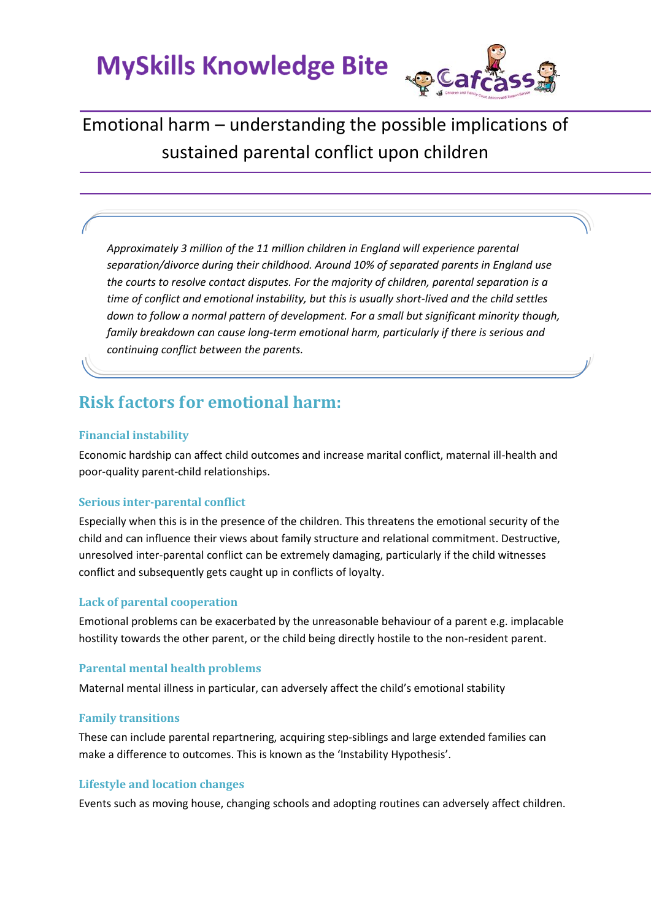

# Emotional harm – understanding the possible implications of sustained parental conflict upon children

*Approximately 3 million of the 11 million children in England will experience parental separation/divorce during their childhood. Around 10% of separated parents in England use the courts to resolve contact disputes. For the majority of children, parental separation is a time of conflict and emotional instability, but this is usually short-lived and the child settles down to follow a normal pattern of development. For a small but significant minority though, family breakdown can cause long-term emotional harm, particularly if there is serious and continuing conflict between the parents.*

# **Risk factors for emotional harm:**

#### **Financial instability**

Economic hardship can affect child outcomes and increase marital conflict, maternal ill-health and poor-quality parent-child relationships.

#### **Serious inter-parental conflict**

Especially when this is in the presence of the children. This threatens the emotional security of the child and can influence their views about family structure and relational commitment. Destructive, unresolved inter-parental conflict can be extremely damaging, particularly if the child witnesses conflict and subsequently gets caught up in conflicts of loyalty.

#### **Lack of parental cooperation**

Emotional problems can be exacerbated by the unreasonable behaviour of a parent e.g. implacable hostility towards the other parent, or the child being directly hostile to the non-resident parent.

#### **Parental mental health problems**

Maternal mental illness in particular, can adversely affect the child's emotional stability

#### **Family transitions**

These can include parental repartnering, acquiring step-siblings and large extended families can make a difference to outcomes. This is known as the 'Instability Hypothesis'.

#### **Lifestyle and location changes**

Events such as moving house, changing schools and adopting routines can adversely affect children.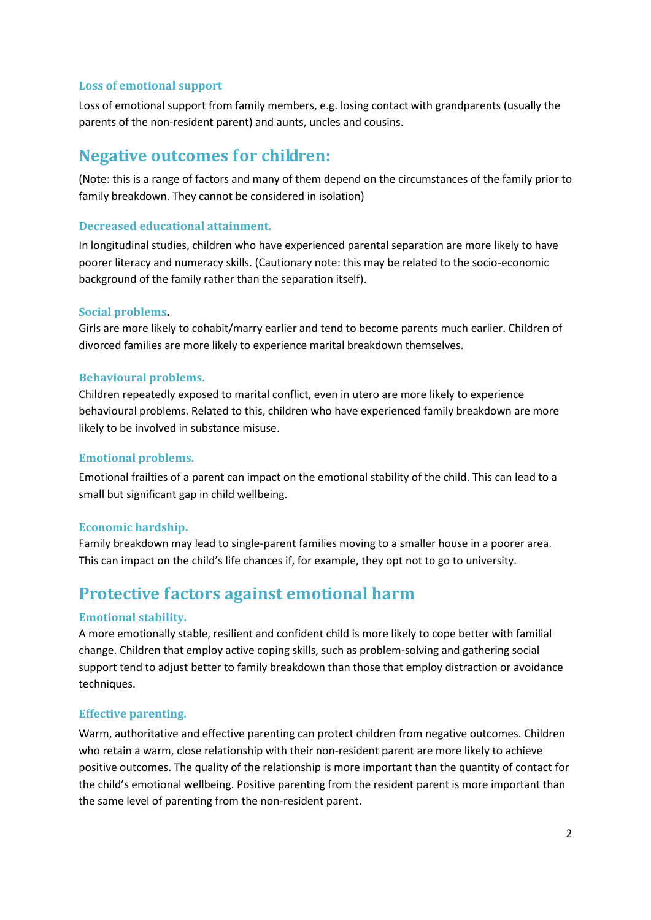#### **Loss of emotional support**

Loss of emotional support from family members, e.g. losing contact with grandparents (usually the parents of the non-resident parent) and aunts, uncles and cousins.

### **Negative outcomes for children:**

(Note: this is a range of factors and many of them depend on the circumstances of the family prior to family breakdown. They cannot be considered in isolation)

#### **Decreased educational attainment.**

In longitudinal studies, children who have experienced parental separation are more likely to have poorer literacy and numeracy skills. (Cautionary note: this may be related to the socio-economic background of the family rather than the separation itself).

#### **Social problems.**

Girls are more likely to cohabit/marry earlier and tend to become parents much earlier. Children of divorced families are more likely to experience marital breakdown themselves.

#### **Behavioural problems.**

Children repeatedly exposed to marital conflict, even in utero are more likely to experience behavioural problems. Related to this, children who have experienced family breakdown are more likely to be involved in substance misuse.

#### **Emotional problems.**

Emotional frailties of a parent can impact on the emotional stability of the child. This can lead to a small but significant gap in child wellbeing.

#### **Economic hardship.**

Family breakdown may lead to single-parent families moving to a smaller house in a poorer area. This can impact on the child's life chances if, for example, they opt not to go to university.

## **Protective factors against emotional harm**

#### **Emotional stability.**

A more emotionally stable, resilient and confident child is more likely to cope better with familial change. Children that employ active coping skills, such as problem-solving and gathering social support tend to adjust better to family breakdown than those that employ distraction or avoidance techniques.

#### **Effective parenting.**

Warm, authoritative and effective parenting can protect children from negative outcomes. Children who retain a warm, close relationship with their non-resident parent are more likely to achieve positive outcomes. The quality of the relationship is more important than the quantity of contact for the child's emotional wellbeing. Positive parenting from the resident parent is more important than the same level of parenting from the non-resident parent.